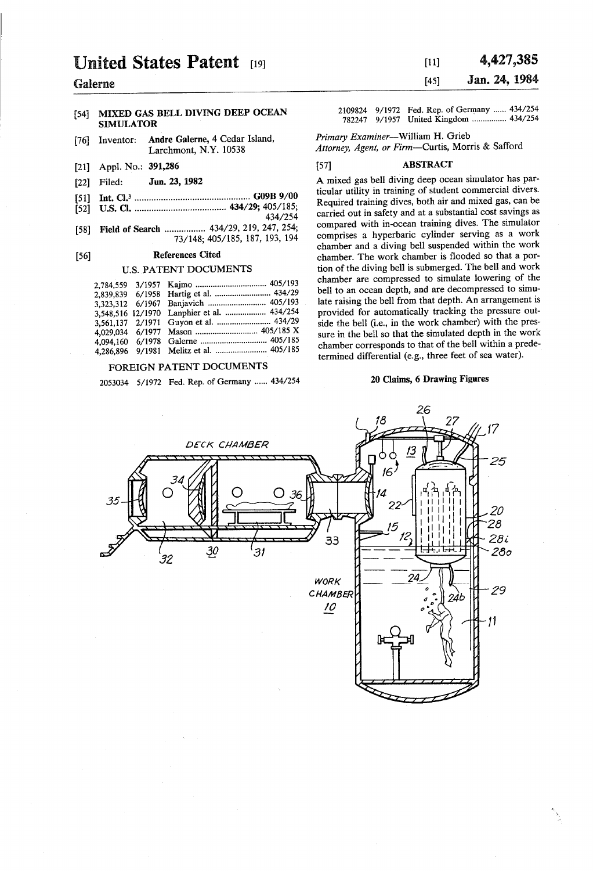# United States Patent  $[19]$  [11] 4,427,385

# [54] MIXED GAS BELL DIVING DEEP OCEAN 2109824 9/1972 Fed. Rep. of Germany ...... 434/254<br>SIMULATOR 782247 9/1957 United Kingdom ................ 434/254

- [76] Inventor: Andre Galerne, 4 Cedar Island, Primary Examiner—William H. Grieb<br>Larchmont, N.Y. 10538 Attorney, Agent, or Firm—Curtis, Mor.
- 
- 
- 
- [52] vs. C]. .................................... .. 434/29; 405/185; Required training dives' both ah and mixed gas' can be
	-
- 

|  | 2,839,839 6/1958 Hartig et al.  434/29     |  |
|--|--------------------------------------------|--|
|  | 3,323,312 6/1967 Banjavich  405/193        |  |
|  | 3,548,516 12/1970 Lanphier et al.  434/254 |  |
|  |                                            |  |
|  | 4,029,034 6/1977 Mason  405/185 X          |  |
|  |                                            |  |
|  |                                            |  |

# FOREIGN PATENT DOCUMENTS

2053034 5/1972 Fed. Rep. of Germany ...... 434/254

# Galerne [45] Jan. 24, 1984

Attorney, Agent, or Firm-Curtis, Morris & Safford

# [21] Appl. No.: 391,286 [57] ABSTRACT

[22] Filed: Jun. 23, 1982 A mixed gas bell diving deep ocean simulator has par-<br>  $\frac{1}{2}$  Filed: Jun. 23, 1982 [51] Int. c1.3 .............................................. .. G09B 9/00 ticular utility in training of student commercial divers  $434/254$  carried out in safety and at a substantial cost savings as<br> $434/254$  compared with in-ocean training dives. The simulator [58] Field of Search .................. 434/29, 219, 247, 254; compared with in-ocean training dives. The simulator  $\frac{73}{148}$ ,  $\frac{405}{195}$ ,  $\frac{193}{193}$ ,  $\frac{194}{194}$  comprises a hyperbaric cylinder serving as a wo 73/148; 405/185, 187, 193, 194 comprises a hyperbaric cylinder serving as a work<br>chamber and a diving bell suspended within the work<br>References Cited<br>chamber The work chamber is flooded so that a por-[56] References Cited chamber. The work chamber is flooded so that a por-U.S. PATENT DOCUMENTS tion of the diving bell is submerged. The bell and work chamber are compressed to simulate lowering of the bell to an ocean depth, and are decompressed to simulate raising the bell from that depth. An arrangement is provided for automatically tracking the pressure outside the bell (i.e., in the work chamber) with the pressure in the bell so that the simulated depth in the work chamber corresponds to that of the bell within a predetermined differential (e.g., three feet of sea water).

## 20 Claims, 6 Drawing Figures

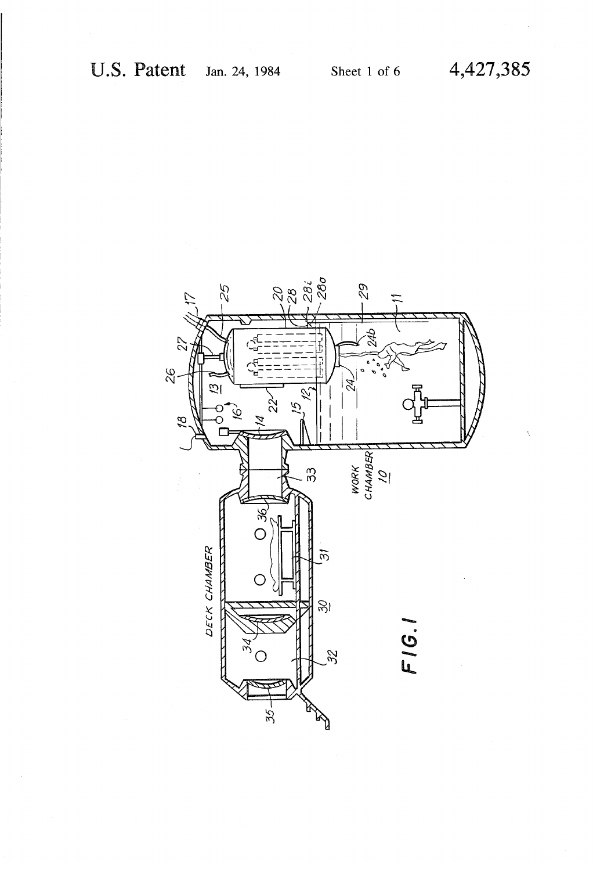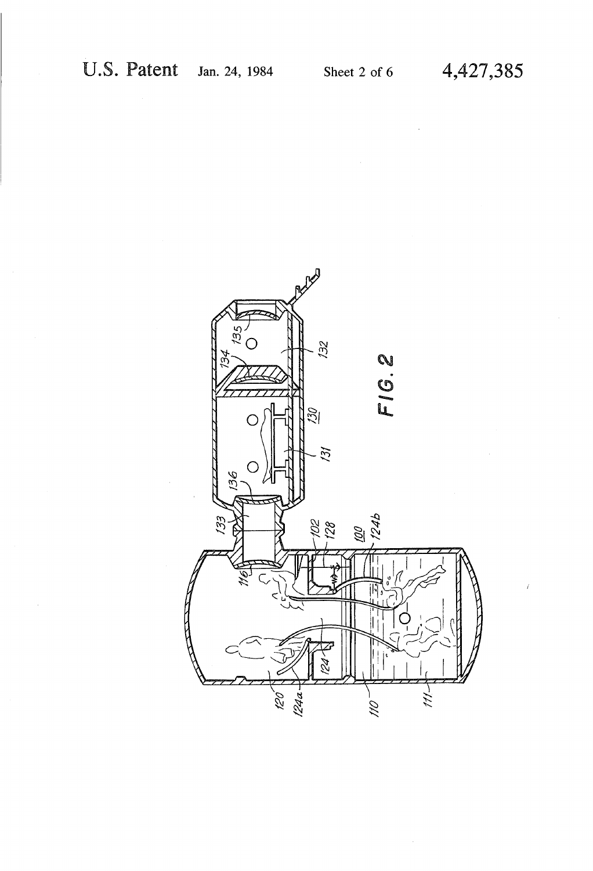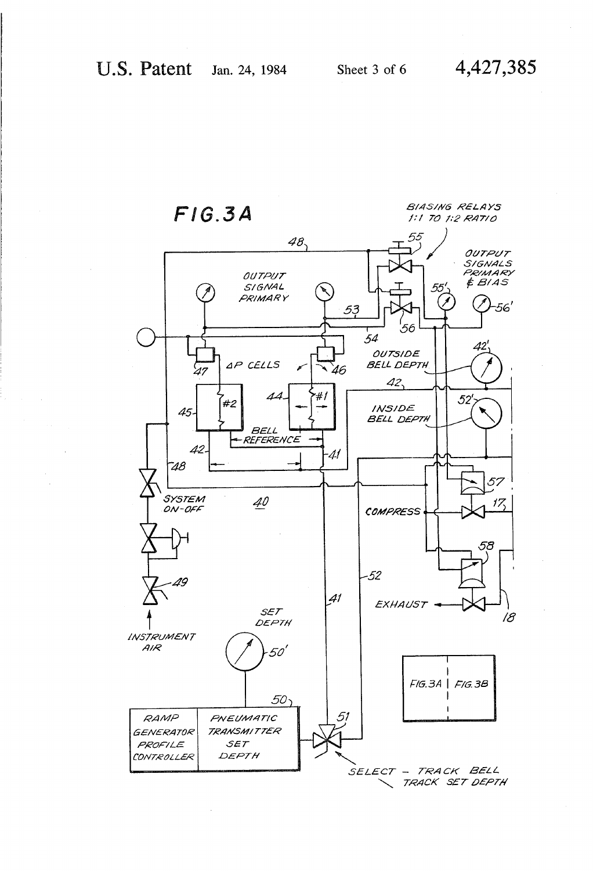F1G.3A



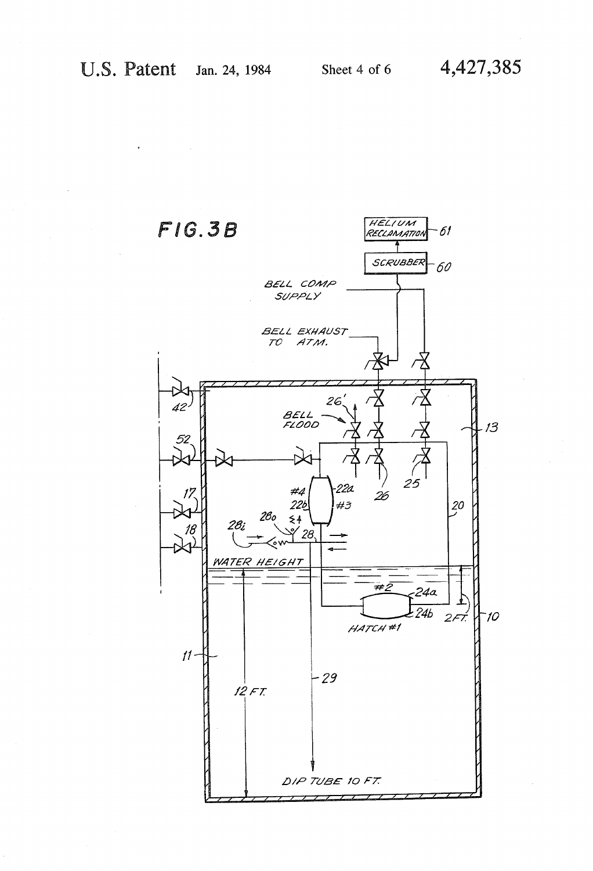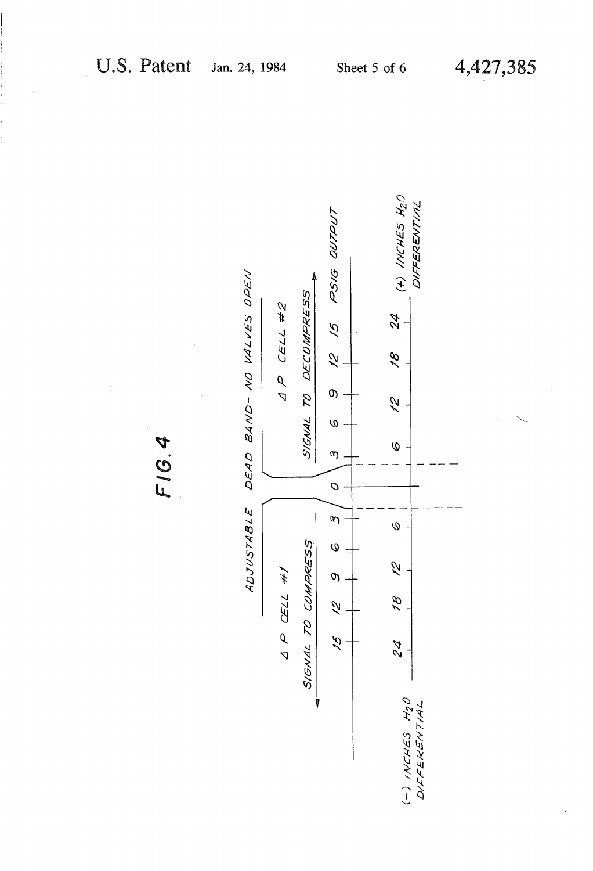

F 16.4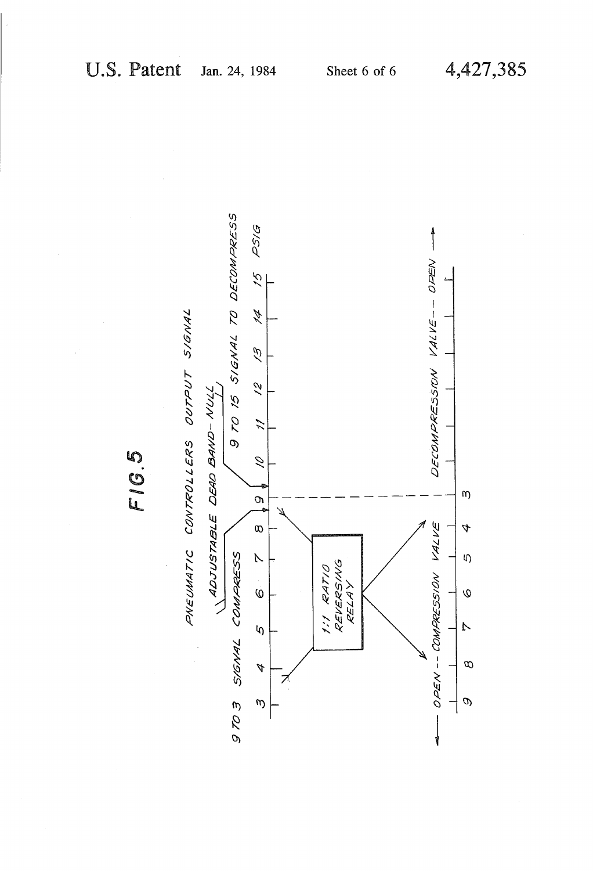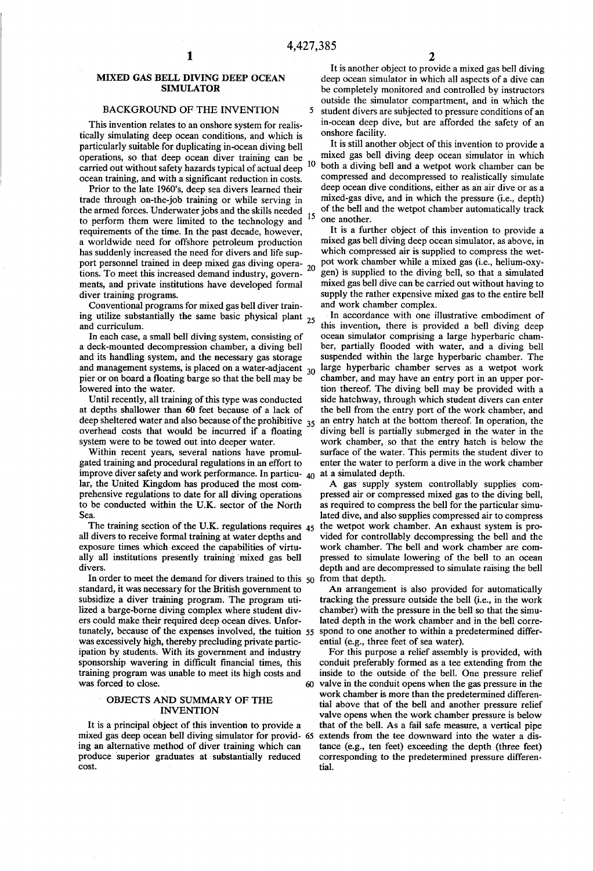5

# MIXED GAS BELL DIVING DEEP OCEAN **SIMULATOR**

 $\mathbf{1}$ 

# **BACKGROUND OF THE INVENTION**

This invention relates to an onshore system for realistically simulating deep ocean conditions, and which is particularly suitable for duplicating in-ocean diving bell operations, so that deep ocean diver training can be carried out without safety hazards typical of actual deep ocean training, and with a significant reduction in costs.

Prior to the late 1960's, deep sea divers learned their trade through on-the-job training or while serving in the armed forces. Underwater jobs and the skills needed to perform them were limited to the technology and requirements of the time. In the past decade, however, a worldwide need for offshore petroleum production has suddenly increased the need for divers and life support personnel trained in deep mixed gas diving opera-20 tions. To meet this increased demand industry, governments, and private institutions have developed formal diver training programs.

Conventional programs for mixed gas bell diver training utilize substantially the same basic physical plant  $_{25}$ and curriculum.

In each case, a small bell diving system, consisting of a deck-mounted decompression chamber, a diving bell and its handling system, and the necessary gas storage and management systems, is placed on a water-adjacent  $30$ pier or on board a floating barge so that the bell may be lowered into the water.

Until recently, all training of this type was conducted at depths shallower than 60 feet because of a lack of deep sheltered water and also because of the prohibitive  $35$  an entry hatch at the bottom thereof. In operation, the overhead costs that would be incurred if a floating system were to be towed out into deeper water.

Within recent years, several nations have promulgated training and procedural regulations in an effort to improve diver safety and work performance. In particu- 40 lar, the United Kingdom has produced the most comprehensive regulations to date for all diving operations to be conducted within the U.K. sector of the North Sea.

all divers to receive formal training at water depths and exposure times which exceed the capabilities of virtually all institutions presently training mixed gas bell divers.

In order to meet the demand for divers trained to this 50 standard, it was necessary for the British government to subsidize a diver training program. The program utilized a barge-borne diving complex where student divers could make their required deep ocean dives. Unfortunately, because of the expenses involved, the tuition 55 was excessively high, thereby precluding private participation by students. With its government and industry sponsorship wavering in difficult financial times, this training program was unable to meet its high costs and was forced to close. 60

## OBJECTS AND SUMMARY OF THE **INVENTION**

It is a principal object of this invention to provide a mixed gas deep ocean bell diving simulator for provid- 65 ing an alternative method of diver training which can produce superior graduates at substantially reduced cost.

It is another object to provide a mixed gas bell diving deep ocean simulator in which all aspects of a dive can be completely monitored and controlled by instructors outside the simulator compartment, and in which the student divers are subjected to pressure conditions of an in-ocean deep dive, but are afforded the safety of an onshore facility.

It is still another object of this invention to provide a mixed gas bell diving deep ocean simulator in which 10 both a diving bell and a wetpot work chamber can be compressed and decompressed to realistically simulate deep ocean dive conditions, either as an air dive or as a mixed-gas dive, and in which the pressure (i.e., depth) of the bell and the wetpot chamber automatically track  $15$ one another.

It is a further object of this invention to provide a mixed gas bell diving deep ocean simulator, as above, in which compressed air is supplied to compress the wetpot work chamber while a mixed gas (i.e., helium-oxygen) is supplied to the diving bell, so that a simulated mixed gas bell dive can be carried out without having to supply the rather expensive mixed gas to the entire bell and work chamber complex.

In accordance with one illustrative embodiment of this invention, there is provided a bell diving deep ocean simulator comprising a large hyperbaric chamber, partially flooded with water, and a diving bell suspended within the large hyperbaric chamber. The large hyperbaric chamber serves as a wetpot work chamber, and may have an entry port in an upper portion thereof. The diving bell may be provided with a side hatchway, through which student divers can enter the bell from the entry port of the work chamber, and diving bell is partially submerged in the water in the work chamber, so that the entry hatch is below the surface of the water. This permits the student diver to enter the water to perform a dive in the work chamber at a simulated depth.

A gas supply system controllably supplies compressed air or compressed mixed gas to the diving bell, as required to compress the bell for the particular simulated dive, and also supplies compressed air to compress The training section of the U.K. regulations requires  $\mu_5$  the wetpot work chamber. An exhaust system is provided for controllably decompressing the bell and the work chamber. The bell and work chamber are compressed to simulate lowering of the bell to an ocean depth and are decompressed to simulate raising the bell from that depth.

> An arrangement is also provided for automatically tracking the pressure outside the bell (i.e., in the work chamber) with the pressure in the bell so that the simulated depth in the work chamber and in the bell correspond to one another to within a predetermined differential (e.g., three feet of sea water).

> For this purpose a relief assembly is provided, with conduit preferably formed as a tee extending from the inside to the outside of the bell. One pressure relief valve in the conduit opens when the gas pressure in the work chamber is more than the predetermined differential above that of the bell and another pressure relief valve opens when the work chamber pressure is below that of the bell. As a fail safe measure, a vertical pipe extends from the tee downward into the water a distance (e.g., ten feet) exceeding the depth (three feet) corresponding to the predetermined pressure differential.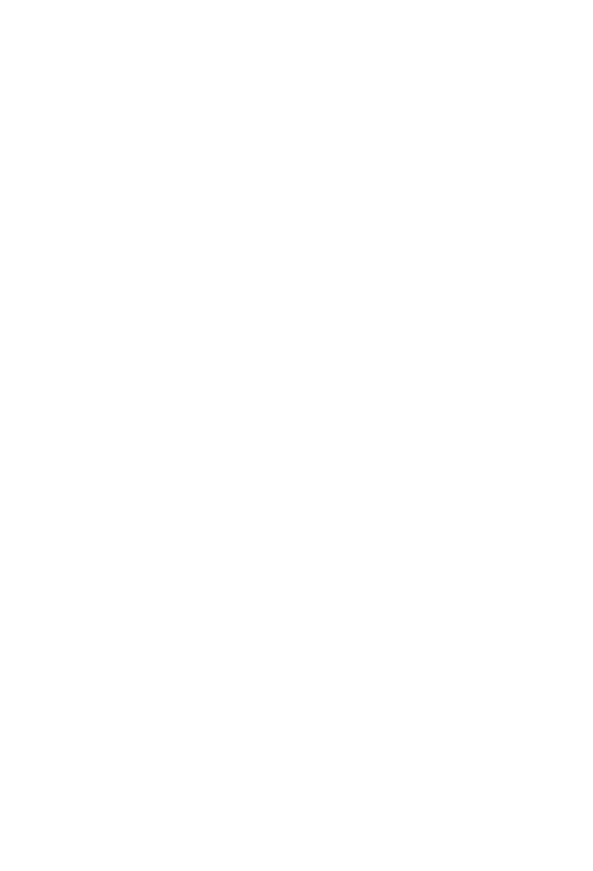In a primary compressing mode, the compressed gas is supplied to the bell, and the work chamber is compressed from the bell by gas passing through the relief assembly. Thus, during a simulated descent, the bell pressure remains three feet above the work chamber 5 pressure. To ensure that this differential is not exceeded, the relief assembly is designed to have a capacity exceeding the compression capacity of the gas supply system.

In a primary decompressing mode, the gas is ex- 10 hausted from the bell to outside the work chamber. either to the atmosphere or to a gas reclamation system. The work chamber is decompressed by bleeding the work chamber air through the relief assembly, into the  $15$ bell, and out through the bell exhaust system.

An automatic pressure tracking arrangement can also be provided for compressing and decompressing the work chamber in accordance with the pressure in the bell, including first and second differential pressure cells and controllable valves respectively connected to the 20 differential pressure cells and associated with the work chamber supply and exhaust systems. The differential pressure cells are each coupled to a reference conduit and a work chamber conduit. The reference conduit is 25 selectively coupled, through a valve, either to the diving bell or to a reference pressure source, and the work chamber conduit is connected to the work chamber. The differential pressure cells provide respective proportional signals (e.g., signal instrument air pressure) in  $_{30}$ response to a change in work chamber pressure above and below the reference conduit pressure, respectively. In response, the controllable valves compress or decompress the work chamber, as appropriate, to keep the work chamber pressure close to the selected one of the  $_{35}$ reference and bell pressures.

The mixed gas bell diving deep ocean simulator of this invention may, in certain embodiments, have a hyperbaric habitat associated with it, so that concurrent training can be carried out in specific aspects of bell  $_{40}$  which duplicate all the features of an actual diving bell diving and saturation diving at pressures to 1000 feet of sea water. The simulator is designed with exterior lifesupport systems, and gas storage, mixing, and distribution equipment that represent specific piping systems used within the industry to provide both student divers  $45$ and topside personnel with effective systems training.

While primarily intended for teaching advanced diving techniques, life support systems, and medical procedures, the apparatus of this invention can also be used for training deep air divers, and for bell and saturation 50 orientation for basic commercial diving students.

The above and many other objects, features, and advantages of this invention will become apparent from the ensuing detailed description, when considered in connection with the accompanying drawings.

## BRIEF DESCRIPTION OF THE DRAWINGS

FIG. 1 is an elevational section view of a mixed gas bell diving deep ocean simulator according to this invention, including a work chamber with the diving bell 60 therewithin, and an associated deck chamber.

FIG. 2 is an elevational section view of another diving simulator, including a work chamber and an associated deck chamber.

FIG. 3 (formed by joining FIGS. 3A and 3B) is a 65 schematic installation diagram showing gas supply and exhaust control systems for the mixed gas bell diving ocean simulator of FIG. 1.

FIGS. 4 and 5 are differential pressure charts for explaining the operation of the systems of FIG. 3.

# DETAILED DESCRIPTION OF A PREFERRED **EMBODIMENT**

With reference to the drawings, and initially to FIG. 1 thereof, a mixed gas bell diving deep ocean simulator embodying the present invention has a vertical wet pot cylinder or work chamber 10 with an inside diameter of ten feet and a height of twenty-five feet. The work chamber 10 is flooded approximately half way with water 11, that is, to a depth of approximately twelve feet from the bottom to a surface 12. This leaves an air-filled upper portion 13.

An entry hatch 14 is provided in the upper portion 13, and a platform 15 extends above the water surface 12 inside the work chamber 10 and acts as an instructors station so that a diving instructor can stand on the inside of the work chamber 10 during a simulated dive. Gas mixture and pressure controls 16 are also provided on the inside of the work chamber 10 for the instructor standing on the platform 15.

Gas inlet pipes 17 extend from a controller (not shown) to the work chamber cylinder to pressurize the same, and an exhaust takeoff outlet pipe 18 connects to the controller to permit decompressing of the work chamber 10.

Within the work chamber 10, a diving bell 20 is suspended so as to be partially submerged in the water 11. In this embodiment, the diving bell 20 is a two-man bell formed of a vertical cylinder five feet in diameter, with the lower end of the bell submerged approximately two feet in the water 11. The bell 20 is suspended from the top of the work chamber 10 by means of a pair of vertical rails 27 attached on the inside of the work chamber hull. This permits the bell 20 to be raised or lowered within the chamber 10, as desired.

The diving bell 20 has interior and exterior features as used in deep ocean work, including bell compression gauges and controls, exhausts, inside/outside depth measurement gauges, primary surface-supplied umbilical gas, and on-board emergency supplies.

Also, exactly as provided on an actual in-ocean diving bell, this diving bell 20 has a side hatchway 22 above the level of the water surface 12, and a bottom entry hatch 24 disposed below the water surface 12. Gas inlet pipes 25 provide gas to the bell 20 to compress the bell. while an exhaust takeoff pipe 26 exhausts gases from the bell for decompressing the same.

A pair of rails 27 permit the bell 20 to be moved vertically within the chamber 10. However, vertical movement can also be simulated by changing the 55 amount of water 11 within the work chamber 10. thereby raising or lowering the water surface 12.

Also shown in FIG. 1 is a bell pressure relief valve assembly 28, formed of a tee-shaped conduit, with a stem passing through the hull of the bell 20 at a point above the water surface 12. The arms of this tee-shaped assembly 28 have excurrent and incurrent relief valves  $28<sub>0</sub>$  and  $28<sub>i</sub>$  preset to open whenever the bell pressure is a predetermined differential above or below the pressure in the work chamber 10, respectively.

In its normal operating condition, the bottom hatch 24 of the bell 20 will be located two feet below the water surface 12. However, with the bottom hatch 24 shut, water will not enter the bell while student divers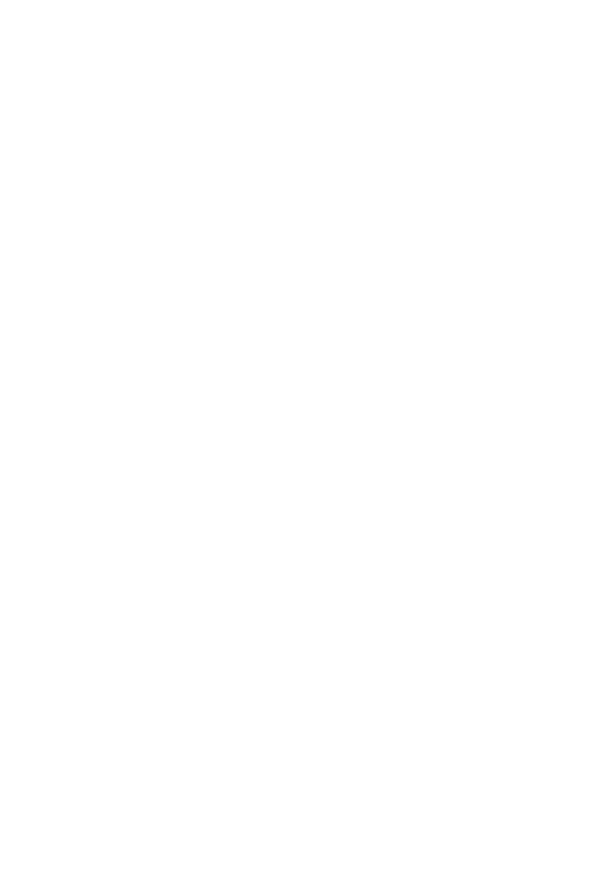enter the bell through side hatchway 22, as they would on an actual in-ocean bell dive.

Once the divers are inside the bell 20, the pressure in the work chamber 10 and also inside the bell 20 can be increased to simulate descent to an ocean depth. Then, 5 one of the divers can enter the water 11 through the bottom hatch 24, with another diver, acting as bellman, remaining inside the bell 20 to monitor the life support systems, as is the practice in an actual dive.

A closed-circuit television camera (not shown) can be 10 mounted in a pressure-proof housing at the top of the bell 20 or on the roof of the work chamber 10. This camera, provided with a wide angle lens, permits instructors outside the chamber to view the inside bell activity and the work chamber activity, and supple- 15 hatch 24 has inner and outer hatch doors 24a and 24b ments the usual voice communications. Also, the closed-circuit television camera can be connected with a video recorder for video recording of activities inside the bell. This permits a record of these activities to be retained for later playback to students. 20

Connected to the work chamber cylinder is a deck chamber 30 formed as a pressurizable horizontal hyperbaric cylinder containing a main lock or habitat 31, an entry lock 32 on one end of the deck chamber 30 remote from the work chamber 10, and a trunk or passageway 25 33 on the other end of the deck chamber 30 connecting the habitat 31 with the work chamber 10. Hatches 34 and 35 are provided respectively between the habitat 31 and the entry lock 32, and between the entry lock 32 and the exterior of the deck chamber 30. Another hatch 30 36 is provided on the trunk 33. Accordingly, each of the entry lock 32, the habitat 31, and the trunk 33 is also provided with air supply and exhaust systems, permitting the pressure in any particular chamber to be maintained at a particular level, or to be matched to the 35 pressure of one of the other chambers.

During a training session, the habitat 31 is compressed, for example, at thirty feet of sea water. The entry lock 32 is used to bring food, supplies, or other divers into the habitat 31. In order to ensure that the 40 pressure in the entry lock 32 is never greater than the pressure in the main lock or habitat 31, the hatch 34 is provided with a small gravity-door relief valve (not shown) designed to open at approximately one-quarter inch water pressure differential.

Also provided for training of student divers is a companion diving simulator complex, as shown in FIG. 2. This complex has a similar outward appearance to the simulator of FIG. 1, but is designed for initial student diver training in relatively large classes, that is, up to 50 twelve or more student divers.

In this simulator, a vertical cylinder 100, twenty-five feet in height and ten feet in diameter, is partitioned by means of a horizontal bulkhead 102 into a lower wetpot portion 110 and an upper igloo portion 120.

The igloo portion 120 has the same interior configuration as a twelve-man diving bell, with a side entry hatchway 116 and a lower hatchway 124 with upper and lower hatch doors 124a and 124b leading from the igloo 120 through the bulkhead 102 into the water 111 60 in the wetpot 110 below. A pressure relief valve assembly 128 permits the wetpot and igloo pressure to track one another, within a predetermined differential.

Associated with this companion diving simulator is a deck chamber 130 including a habitat 131 and an entry 65 lock 132, with a sealable passageway 133 connecting the habitat 131 to the igloo 120. Hatches 134, 135, and 136 are provided for this deck chamber 130, and serve the

same function as the corresponding hatches 34, 35, and 36 of the deck chamber associated with the mixed gas bell diving deep ocean simulator.

The diving simulator complex shown in FIG. 2 permits air bell diving training in groups of up to twelve divers, and can simulate most conditions which can be experienced in a large twelve-man bell.

FIG. 3 illustrates a controller system for automatically controlling the pressure in the work chamber 10 of the mixed gas bell diving deep ocean simulator of FIG. 1 by automatically balancing the pressure of the bell 20 and that of the work chamber 10, and also shows, schematically, features of the bell 20.

As shown schematically in FIG. 3, the bell bottom and the side hatchway 22 has similar inner and outer hatch doors 22a and 22b.

The gas intake 25 for the diving bell 20 has valves disposed within the bell 20, inside the work chamber 10, and outside the work chamber 10 for controlling the gas pressure to the bell 20. Similarly, the exhaust takeoff pipe 26 has valves disposed within the bell 20, inside the work chamber 10, and outside the work chamber 10.

In addition, a bell flood pipe 26', controllable both inside and outside the bell 20, is provided for equalizing the pressure inside and outside the bell 20. This permits the hatchway 24 to be flooded, once the hatch doors 24a and 24b are opened, to ease the entry of divers into the water 11.

An automatic differential pressure mechanism 40 has a bell/reference conduit 41 connected to a point providing either the bell pressure or a reference pressure, as selectively determined, and has a work chamber conduit 42 connected inside the work chamber 10.

First and second differential pressure cells have respective differential bellows 44 and 45 which are each connected to the two conduits 41 and 42 to compare the bell or reference pressure with the work chamber pressure. These differential pressure bellows 44 and 45 are respectively coupled to first and second linear valves 46 and 47 which each have an input connected to an instrument air line 48 which is in turn coupled to a source of instrument air 49.

A reference pressure source 50, comprised, for exam-45 ple, of a ramp generator, a profile controller, and a pneumatic output transmitter, provides a reference pressure corresponding to a predetermined set depth. This depth can be adjusted to the level of a predetermined dive, such as 500 feet of sea water. A set depth gauge 50' indicates the level of the reference pressure. A selecting valve 51 connects the bell reference con-

duit 41 either to the reference pressure source 50 or to a bell conduit 52 coupled to the interior of the bell 20. An inside bell depth gauge 52' is connected to the con-55 duit 52 and indicates the depth (i.e., pressure) inside the bell 20. Similarly, an outside bell depth gauge 42', coupled to the work chamber conduit 42, indicates the depth (i.e., pressure) in the upper portion 13 of the work chamber 10.

Primary output signal pressure gauges 46' and 47' indicate the output signal air pressure from the linear valves 46 and 47 of with the first and second differential pressure cells. The primary output signal air is respectively supplied from these linear valves 46 and 47 through lines 53 and 54 to biasing relays 55 and 56, respectively, which also have an input coupled to the instrument air line 48. These biasing air relays 55 and 56 preferably have an input: output ratio of 1:1 to 1:2, and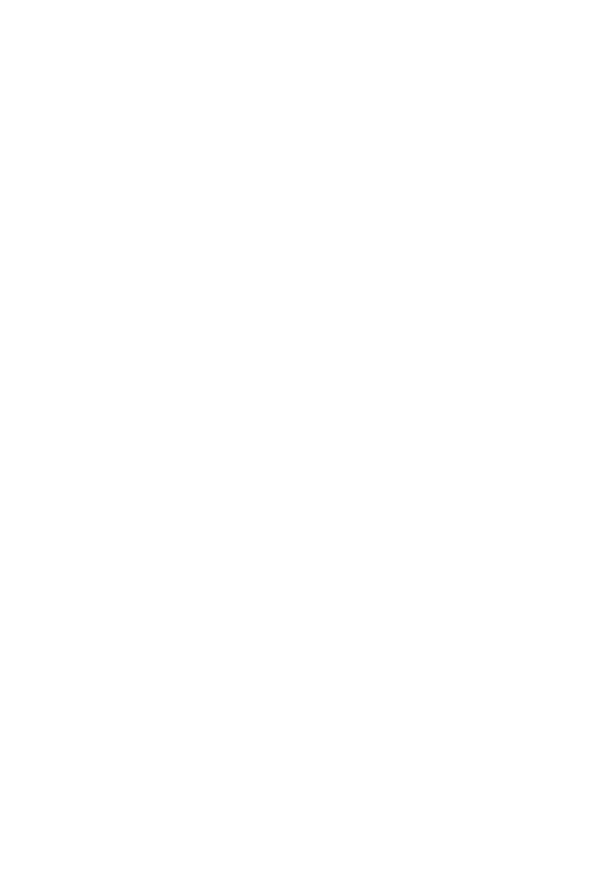$\overline{5}$ 

can have an adjustable offset. Outputs of the relays 55 and 56 are respectively indicated on output signal gauges 55' and 56', connected to first and second linear control valves 57 and 58. The first linear control valve 57 is connected in line with the gas inlet pipe 17 between a compressed air or mixed gas source (not shown) and the work chamber 10. The second linear control valve 58 is connected in the exhaust line 18 from the work chamber 10 to control the rate of exhaust air flow therefrom.

Also as shown in FIG. 3, the bell exhaust 26 can have a scrubber 60 connected thereto to remove carbon dioxide and waste gases from the gas taken from the bell 20 during decompression, and a helium reclamation arrangement 61 can be connected after the scrubber to 15 segregate helium from the exhaust gases so the same can be reclaimed and later recycled.

The differential pressure cells 44, 46 and 45, 47 of the arrangement shown in FIG. 3 generally have the operating characteristic shown in the chart of FIG. 4.

Assuming that the selecting valve couples the bell-/reference conduit 41 to the bell conduit 52, the bottom line in FIG. 4 represents the difference, in inches of water, between the bell pressure (gauge 52') and the outside bell depth (gauge 42'). The first differential 25 pressure cell arrangement 44 and 46 provides a primary signal of zero to fifteen PSIG, proportional to the pressure differential over an input span of zero to twentyfour inches of water when the bell pressure is higher than the work chamber pressure. Similarly, the second 30 trolled by a pneumatic force-balance feedback system differential pressure cell arrangement 45 and 47 provides a primary signal of zero to fifteen PSIG, proportional to the pressure differential over a span of zero to twenty-four inches of water when the bell pressure is below the work chamber pressure. An adjustable dead 35 band is provided, for instance by adjusting the offset of the relays 55 and 56, and signal air is blocked from reaching the linear valves 57 and 58, when the pressure differential is within the dead band.

It should be recognized that the automatic control 40 arrangement including the differential pressure cells 44, 45, 46, 47 and the linear control valves 57 and 58 provides a feedback system which permits tracking of the work chamber depth to either the bell pressure or the 45 reference pressure, based on the pressure differential.

The tracking of the work chamber pressure to the bell pressure can be briefly described as follows:

In a primary compression mode, the bell 20 is supplied with gas (i.e., air) at a specific pressure. The student divers within the bell 20 manually compress them-50 ferential pressure of the bell 20 to the work chamber 10 selves within the bell at the maximum rate permitted by the gas supply pressure. The bell pressure relief valve  $28<sub>o</sub>$  automatically opens as soon as the internal bell pressure is three feet of sea water greater than the pressure within the work chamber 10. This relief valve assembly 55 28 is dimensioned so as to exceed the supply capabilities of the bell gas supply. As a result, the student divers compress both the bell 20 and the work chamber 10, with the bell 20 maintaining a slightly higher pressure (i.e., three feet of sea water). 60

Because the gas flows from the bell 20, through the relief valve assembly 28, into the work chamber 10, the work chamber pressure follows, or tracks the bell pressure, and remains within a predetermined differential thereof (in this case, three feet of sea water).

Conversely, in a primary decompression mode, if the divers decompress the bell, for example, at the end of a dive, simply by opening a manual valve associated with the exhaust takeoff pipe 26. This exhausts the bell gas outside the work chamber 10, in this case, directly to the atmosphere. Then, the bell pressure drops in relation to the work chamber pressure, until the bell relief valve  $28<sub>i</sub>$  opens. Then, the compressed air or mixed gas in the work chamber passes through the relief valve assembly 28, and thence through the bell 20 and out the exhaust takeoff pipe 26.

In this case, the exhaust valve associated with the 10 exhaust takeoff pipe 26 is sized so as to limit both the bell decompression rate and the maximum differential pressure between the bell 20 and the work chamber 10.

The vertical open pipe 29 is preferably at least four inches in diameter and provides a maximum fail-safe positive/negative pressure relief at an equivalent pressure of ten feet of sea water.

A secondary automatic pressure tracking mode utilizes the automatic differential pressure mechanism 40, and permits very fast compression/decompression of 20 the bell 20 and work chamber 10. Compression and decompression under the secondary mode can occur at rates which are much higher than those possible using the primary compression/decompression control modes described above.

In the secondary automatic pressure tracking mode, gas is supplied directly to and taken directly from the work chamber 10 by the remotely positioned linear supply and exhaust control valves 57 and 58. As described hereinabove, these valves 57 and 58 are conwhich continuously compares the bell and work chamber pressures.

In a bell compression phase of this mode, as the bell 20 is manually compressed, the first differential pressure cell 44, 46 senses the differential pressure between the bell 20 and the work chamber 10. Then, the first differential pressure cell 44, 46 produces a primary air output signal which, as shown in FIG. 4, is proportional to this differential. This output signal then opens the linear control valve 57 to admit compressed air directly to the work chamber 10. When manual compression of the bell 20 ceases, the differential pressure cell 44 senses the decline in pressure differential, and the linear control valve 57 begins to close.

The second differential pressure cell 45, 47 is arranged to provide a primary (FIG. 4) output signal in the sense to open the linear control valve 58 and permit exhausting of the work chamber gas 13. The rate of exhausting is proportional to the negative (lower) difas the student diver manually exhausts the bell 20.

Operating together, the first differential pressure cell 45, 47 and linear supply control valve 57 and the second differential pressure cell 46, 48 and linear exhaust control valve 58 form a "mirror image" feedback loop which compares bell and work chamber pressures, and maintains the work chamber pressure within a minimum/maximum limit as compared to the manually-controlled bell.

Because of the dead band or null zone, small pressure changes are permitted within the bell 20 as necessary to seal the hatches 24 or to alter the work chamber pressure, and the width of the dead band or null zone can be adjusted, either within the bell or by an instructor outside the work chamber. 65

An additional feature of the system is that the differential pressure cells 44, 46 and 45, 47 can be selectively biased, for example, to permit an instructor to simulate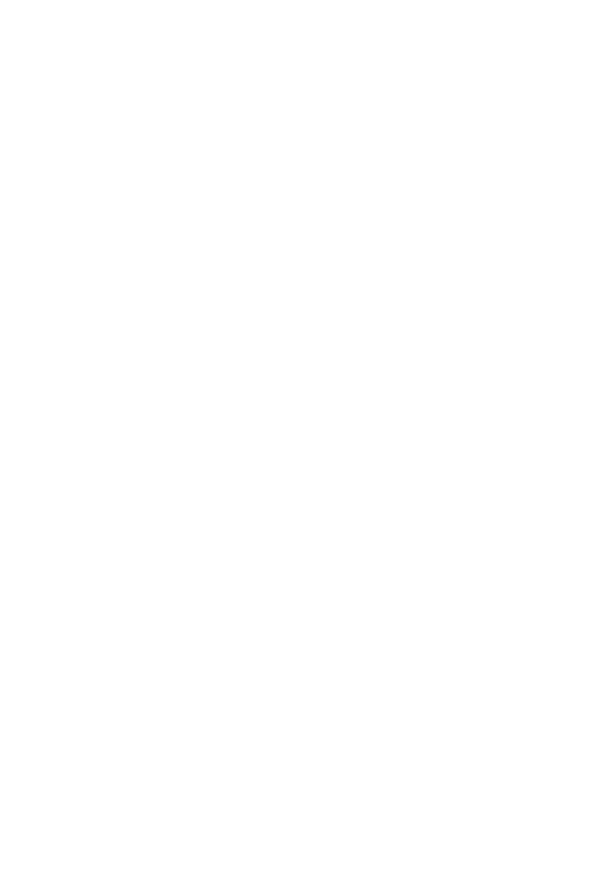the effect of "dropping the bell". This can be done by adding an additional signal to compress the work chamber 10 and momentarily to flood the bell 20. Conversely, this biasing procedure can be reversed to simulate the bell 20 being lifted by a winching system, with 5 the expanding gas escaping out of the bell 20. In addition, the selecting valve 51 can be set to connect the conduit 41 to the source 50, rather than to the bell 20. In such case, a reference set pressure, instead of the bell pressure, is used to control the work chamber pressure. <sup>10</sup> Thus, if the reference pressure is controlled over time, the entire pressure chamber complex may be decompressed at a specific rate determined by student or instructor personnel, and the linear control valves 57 and 58 will automatically add or take away the gas pressure, 15 as necessary, in order to maintain the desired "set" depths over time.

An alternative configuration can be explained with reference to the chart of FIG. 5. In this alternative 20 design, only a single differential pressure cell is used, one side being connected to the bell/reference conduit 41, the other connected to the work chamber conduit 42. The work chamber exhaust control valve 58 is preset to respond to a 9-15 PSIG output signal, with a zero-to-one-hundred-percent linear-open/spring-close configuration. In this case, the decompression or exhaust valve 58 is connected directly to the output of the linear valve 45, 47. Signals below 9 PSIG do not affect this valve.

The compression or supply control valve 57 has its position preset to respond to a 3-19 PSIG signal, and is also configured as zero-to-one-hundred-percent linear open.

In this case, there is mounted between the differential  $35$ pressure valve 47 and the control valve 57 a 1:1 ratio signal reversing relay, which inverts the output signal from the differential pressure cell valve 47.

Another possible design for the controller system involves the use of pressure converters, mounted di- 40 rectly on the hulls of the work chamber 10 and the diving bell 20, to convert the actual pressure (0-300 PSIG) to a representative low pressure signal (3-15 PSIG). In this case, the differential between the representative low pressure signals for the work chamber 10  $_{45}$ and bell 20 would be compared in a conventional representative pressure pneumatic controller.

Also, while a pneumatic control system is shown in the embodiment described hereinabove, equivalent circuits could be electrically or hydraulically controlled. 50

With the mixed gas bell diving simulator as described hereinabove, the bell 20 and the work chamber 10 can be compressed to any depth equivalent up to five hundred feet or more; therefore simulated deep ocean bell training dives can be carried out in he simulator, avoid- 55 ing the need for expensive and significantly more hazardous in ocean bell training dives. The student divers in the bell can be exposed to all necessary equipment and procedures, and to an actual in-water diving environment, at gas pressures equivalent to ocean depths of 60 five hundred feet of sea water. All this can be done without the risks normally attendant with conventional barge-mounted diving bell training conducted in the open ocean.

The composition of the water 11 in the work chamber 65 10 is not limited to sea water, but can be fresh water or any other aqueous environment to which commercial divers are likely to be exposed. Also, the cloudiness or

turbidity of the water 11 can be adjusted to simulate actual conditions.

This position of valves both inside the bell 20 and outside the work chamber 10, for example, at a controller panel, permits outside instructor personnel to take over control of bell pressure and of gas mixtures, should that become necessary.

During an air dive, a student diver can "surface" into the gas filled portion 13 of the work chamber 10 in the event that his breathing equipment malfunctions and he is unable to return into the bell 20 via the bottom hatch 24, as would be required in actual in ocean dive. This provides a significant safety feature for the student diver that is unavailable with conventional open-ocean training methods.

Also, in the event of a panic or emergency, an outside instructor or other staff member may "lock-in" through the entry lock 32, the habitat 31, and the trunk 33 into the work chamber 10 to come to the assistance of students within the bell 20. This feature is also unavailable in actual in-ocean bell training, and is therefore regarded as a significant safety feature.

A significant economic advantage of this invention is that a mixed-gas (helium-oxygen) dive can be accom-25 plished at significantly reduced costs. That is, if it desired to have a training dive at extreme depths, i.e. five hundred feet of sea water, a helium-oxygen breathing mixture can be supplied to the bell 20, while air is supplied to compress the work chamber 10. As a result, no more helium is required for a simulated dive than for an in-ocean dive. In addition, the scrubber 60 and helium reclamation unit 61 are connected to the bell exhaust pipe 26, so that the exhausted helium gas can be recovered. This permits a helium gas cost savings of up to 85% as compared to open circuit systems. Because the comparisons involve pressure, rather than gas mixture. and because the helium can be recovered even if it escapes into the work chamber 10, the bell 20 can be pressurized slightly higher than the work chamber 10 so that water may be pushed completely out of the bell 20, as is required according to standard procedures used in the field.

Terms and expressions used hereinabove are intended as terms of description, and not of limitation, and there is no intention in the use of such terms and expressions of excluding any equivalents of the features shown and described or portions thereof. Moreover, many possible variations and modifications of the above-described simulator are possible without departure from the scope and spirit of this invention, as defined in the appended claims.

What is claimed is:

1. Bell diving deep ocean simulator apparatus comprising a pressurizable wetpot work chamber; means for simulating a diving bell within said work chamber, said diving bell simulating means being provided with an entry port such that a person may enter the diving bell simulator means, said diving bell simulator means being operable for said person to execute a simulated dive; and means for adjusting the pressure within the work chamber and diving bell simulator means to simulate lowering or raising the diving bell simulator means to an ocean depth.

2. Bell diving deep ocean simulator apparatus comprising a pressurizable wetpot work chamber; means for simulating a diving bell within said work chamber, having an entry port therein such that a person may enter the diving bell simulating means through said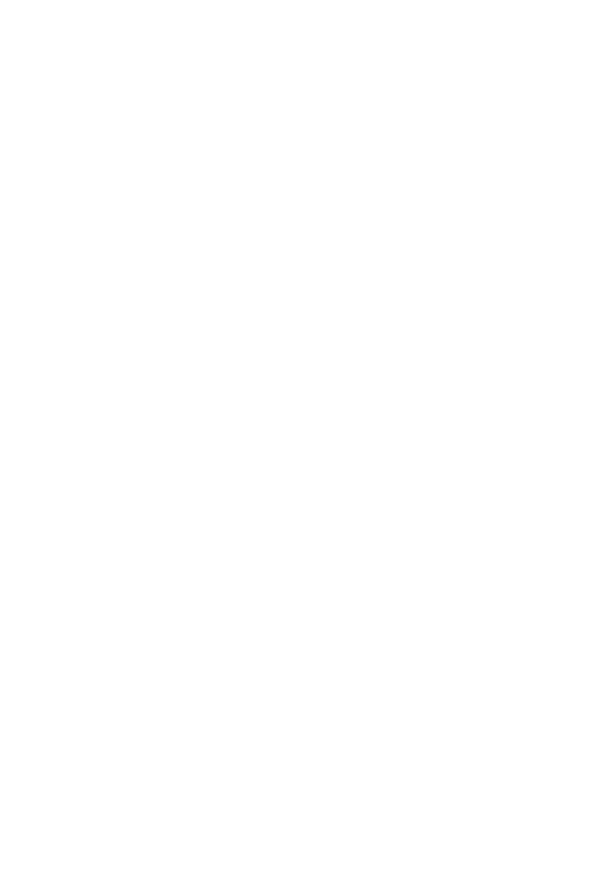5

hatch and execute a stimulated dive in said diving bell simulating means; means for controllably supplying compressed gas to said diving bell simulating means and to said work chamber so that the pressure within said diving bell simulating means and within the work chamber may be adjusted to simulate lowering of said diving bell simulating means to an ocean depth and to simulate raising of said diving bell simulating means from said ocean depth.

claimed in claim 1, comprising a pressurizable wetpot work chamber which is provided with a zone adapted to receive water in at least a portion thereof and having a sealable entry port; means for simulating a diving bell within said work chamber, having a sealable entry 15 hatch in communication with the work chamber zone which is adapted to receive water, said hatch being adapted for use by a person for passage between the diving bell simulating means and the zone adapted to receive the water and said diving bell simulating means 20 erence conduit, respectively; and controllable valves being adapted for use by the person in a simulated dive; means for controllably supplying compressed gas to said diving bell simulating means and to said work chamber so that the pressure within said diving bell simulating means and within the work chamber may be 25 increased to simulate lowering of said diving bell simulating means to an ocean depth; exhaust means for controllably decompressing said diving bell simulating means and said work chamber to simulate raising of said diving bell simulating means from said ocean depth; and 30 means for maintaining the pressure of the wetpot work chamber and the diving bell simulating means relative to one another to within a predetermined pressure differential.

4. The bell diving deep ocean simulator apparatus, as 35 from the bell. claimed in claim 1, comprising a pressurizable wetpot work chamber which is provided with a zone adapted to receive water therein and having a sealable entry port; a diving bell suspended within said work chamber. having a sealable entry hatch which is below the surface 40 of the water when the zone of the work chamber contains an amount of water and in communication with said zone such that a person may pass between the diving bell and said zone and said diving bell being adapted for use by a student to execute a simulated dive; means 45 for controllably supplying compressed gas to said diving bell and to said work chamber so that the pressure within said bell and within the water in said work chamber may be adjusted to simulate lowering of said bell to an ocean depth and to simulate raising of said bell from 50 as claimed in claim 1, 2, 3 or 4, wherein the wetpot work said ocean depth; and means for maintaining the pressure of the wetpot work chamber and the bell relative to one another to within a predetermined pressure differential.

comprising a pressurizable wetpot work chamber adapted to receive water in at least a lower portion thereof and having a sealable entry port; a diving bell suspended within said work chamber and having a sealable entry hatch therein which is below the surface of 60 the water when an amount of water is in the wetpot work chamber and a sealable hatchway above said surface of the water, said hatchway being adapted for a person to enter the diving bell, said diving bell being adapted for use by the person in a simulated dive and 65 said entry hatch being adapted for passage by the person between the diving bell and the lower portion of the work chamber; means for controllably supplying com-

pressed gas to said bell and to said work chamber so that the pressure within said bell and within said work chamber can be increased to simulate lowering of said bell to an ocean depth; exhaust means for controllably decompressing said bell and said work chamber to simulate raising of said bell from said ocean depth; and means for automatically tracking the pressure of the wetpot work chamber and the bell relative to one another to within a predetermined differential, so that the simulated depth 3. The bell diving deep ocean simulator apparatus, as  $10\,$  in the wetpot work chamber corresponds to the pressure in said bell.

> 6. The bell diving deep ocean simulator apparatus, as claimed in claim 3, wherein said means for maintaining the pressure of the work chamber and bell includes means for sensing differential pressure having a chamber conduit coupled to the work chamber and a reference conduit coupled to said bell, means for providing differential signals indicating pressure differentials of said chamber above and below the pressure in said refassociated with said gas supply means for said work chamber and with said exhaust means for said work chamber, respectively, for controlling the gas pressure in said work chamber in response to said differential signals.

> 7. The bell diving deep ocean simulator apparatus according to claim 2, 3 or 4, wherein said gas supply means supplies a mixture of helium and oxygen to said bell and supplies compressed air to said work chamber to compress the same.

> 8. The bell diving deep ocean simulator apparatus according to claim 7, wherein the exhaust means for said bell includes reclamation means for recovering the helium from the helium and oxygen mixture exhausted

> 9. The bell diving deep ocean simulator apparatus according to claim 1, 2 or 4, wherein the work chamber is provided with station means within the work chamber for an instructor to exercise supervisory control of a person performing the simulated dive.

> 10. The bell diving deep ocean simulator apparatus according to claim 11, wherein the instructor's station means is disposed above the surface of water within the work chamber and includes gas control means accessible by an instructor at said station for permitting supervisory control of the compressing and decompressing of said diving bell simulator means by said instructor within the work chamber during a simulated dive.

> 11. The bell diving deep ocean simulator apparatus. chamber is provided with a hyperbaric deck chamber having a habitat therein of sufficient size to accommodate at least two persons.

12. The bell diving deep ocean simulator apparatus 5. The bell diving deep ocean simulator apparatus 55 according to claim 11, wherein the hyperbaric deck chamber is provided with entry lock means for passage into the deck chamber from without the bell diving deep ocean simulator apparatus, a locking passageway connecting the deck chamber and the work chamber, said deck chamber comprising a habitat of sufficient size to accommodate at least two persons.

13. The bell diving deep ocean simulator apparatus according to claim 12, wherein the hyperbaric work chamber is adapted to contain an amount of water in a lower portion thereof and a gas in an upper portion thereof, and the diving bell is provided with a sealable entry hatch at the bottom thereof, said sealable entry hatch being positioned to be submerged in water when